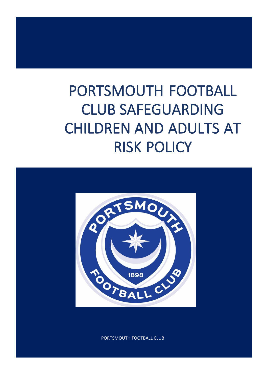# PORTSMOUTH FOOTBALL CLUB SAFEGUARDING CHILDREN AND ADULTS AT RISK POLICY



PORTSMOUTH FOOTBALL CLUB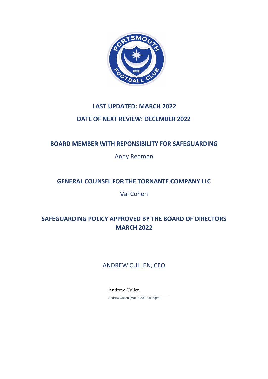

## **LAST UPDATED: MARCH 2022 DATE OF NEXT REVIEW: DECEMBER 2022**

## **BOARD MEMBER WITH REPONSIBILITY FOR SAFEGUARDING**

Andy Redman

## **GENERAL COUNSEL FOR THE TORNANTE COMPANY LLC**

Val Cohen

## **SAFEGUARDING POLICY APPROVED BY THE BOARD OF DIRECTORS MARCH 2022**

## ANDREW CULLEN, CEO

Andrew Cullen

Andrew Cullen (Mar 9, 2022, 8:00pm)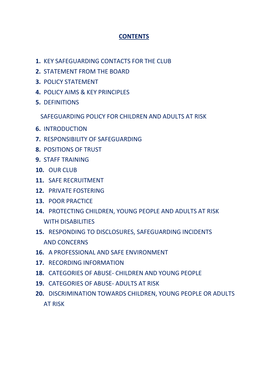## **CONTENTS**

- **1.** KEY SAFEGUARDING CONTACTS FOR THE CLUB
- **2.** STATEMENT FROM THE BOARD
- **3.** POLICY STATEMENT
- **4.** POLICY AIMS & KEY PRINCIPLES
- **5.** DEFINITIONS

SAFEGUARDING POLICY FOR CHILDREN AND ADULTS AT RISK

- **6.** INTRODUCTION
- **7.** RESPONSIBILITY OF SAFEGUARDING
- **8.** POSITIONS OF TRUST
- **9.** STAFF TRAINING
- **10.** OUR CLUB
- **11.** SAFE RECRUITMENT
- **12.** PRIVATE FOSTERING
- **13.** POOR PRACTICE
- **14.** PROTECTING CHILDREN, YOUNG PEOPLE AND ADULTS AT RISK WITH DISABILITIES
- **15.** RESPONDING TO DISCLOSURES, SAFEGUARDING INCIDENTS AND CONCERNS
- **16.** A PROFESSIONAL AND SAFE ENVIRONMENT
- **17.** RECORDING INFORMATION
- **18.** CATEGORIES OF ABUSE- CHILDREN AND YOUNG PEOPLE
- **19.** CATEGORIES OF ABUSE- ADULTS AT RISK
- **20.** DISCRIMINATION TOWARDS CHILDREN, YOUNG PEOPLE OR ADULTS AT RISK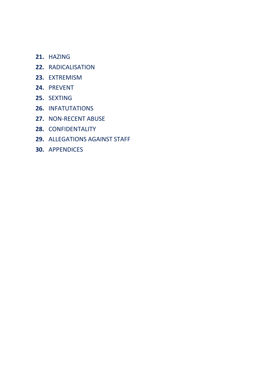- **21.** HAZING
- **22.** RADICALISATION
- **23.** EXTREMISM
- **24.** PREVENT
- **25.** SEXTING
- **26.** INFATUTATIONS
- **27.** NON-RECENT ABUSE
- **28.** CONFIDENTALITY
- **29.** ALLEGATIONS AGAINST STAFF
- **30.** APPENDICES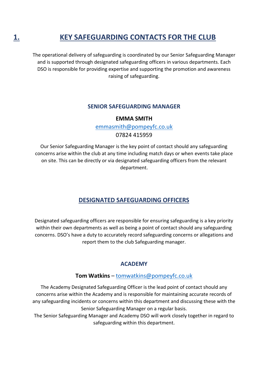## **1. KEY SAFEGUARDING CONTACTS FOR THE CLUB**

The operational delivery of safeguarding is coordinated by our Senior Safeguarding Manager and is supported through designated safeguarding officers in various departments. Each DSO is responsible for providing expertise and supporting the promotion and awareness raising of safeguarding.

#### **SENIOR SAFEGUARDING MANAGER**

#### **EMMA SMITH**

[emmasmith@pompeyfc.co.uk](mailto:emmasmith@pompeyfc.co.uk)

07824 415959

Our Senior Safeguarding Manager is the key point of contact should any safeguarding concerns arise within the club at any time including match days or when events take place on site. This can be directly or via designated safeguarding officers from the relevant department.

## **DESIGNATED SAFEGUARDING OFFICERS**

Designated safeguarding officers are responsible for ensuring safeguarding is a key priority within their own departments as well as being a point of contact should any safeguarding concerns. DSO's have a duty to accurately record safeguarding concerns or allegations and report them to the club Safeguarding manager.

### **ACADEMY**

#### **Tom Watkins** – [tomwatkins@pompeyfc.co.uk](mailto:tomwatkins@pompeyfc.co.uk)

The Academy Designated Safeguarding Officer is the lead point of contact should any concerns arise within the Academy and is responsible for maintaining accurate records of any safeguarding incidents or concerns within this department and discussing these with the Senior Safeguarding Manager on a regular basis.

The Senior Safeguarding Manager and Academy DSO will work closely together in regard to safeguarding within this department.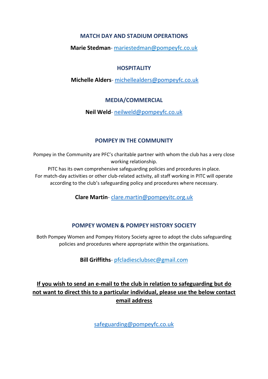#### **MATCH DAY AND STADIUM OPERATIONS**

#### **Marie Stedman**- [mariestedman@pompeyfc.co.uk](mailto:mariestedman@pompeyfc.co.uk)

#### **HOSPITALITY**

#### **Michelle Alders**- [michellealders@pompeyfc.co.uk](mailto:michellealders@pompeyfc.co.uk)

#### **MEDIA/COMMERCIAL**

**Neil Weld**- [neilweld@pompeyfc.co.uk](mailto:neilweld@pompeyfc.co.uk)

#### **POMPEY IN THE COMMUNITY**

Pompey in the Community are PFC's charitable partner with whom the club has a very close working relationship.

PITC has its own comprehensive safeguarding policies and procedures in place. For match-day activities or other club-related activity, all staff working in PITC will operate according to the club's safeguarding policy and procedures where necessary.

**Clare Martin**- [clare.martin@pompeyitc.org.uk](mailto:clare.martin@pompeyitc.org.uk)

### **POMPEY WOMEN & POMPEY HISTORY SOCIETY**

Both Pompey Women and Pompey History Society agree to adopt the clubs safeguarding policies and procedures where appropriate within the organisations.

**Bill Griffiths**- [pfcladiesclubsec@gmail.com](mailto:pfcladiesclubsec@gmail.com)

## **If you wish to send an e-mail to the club in relation to safeguarding but do not want to direct this to a particular individual, please use the below contact email address**

[safeguarding@pompeyfc.co.uk](mailto:safeguarding@pompeyfc.co.uk)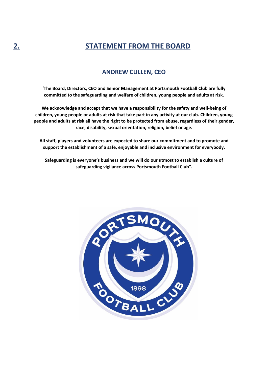## **2. STATEMENT FROM THE BOARD**

#### **ANDREW CULLEN, CEO**

**'The Board, Directors, CEO and Senior Management at Portsmouth Football Club are fully committed to the safeguarding and welfare of children, young people and adults at risk.**

**We acknowledge and accept that we have a responsibility for the safety and well-being of children, young people or adults at risk that take part in any activity at our club. Children, young people and adults at risk all have the right to be protected from abuse, regardless of their gender, race, disability, sexual orientation, religion, belief or age.**

**All staff, players and volunteers are expected to share our commitment and to promote and support the establishment of a safe, enjoyable and inclusive environment for everybody.**

**Safeguarding is everyone's business and we will do our utmost to establish a culture of safeguarding vigilance across Portsmouth Football Club".**

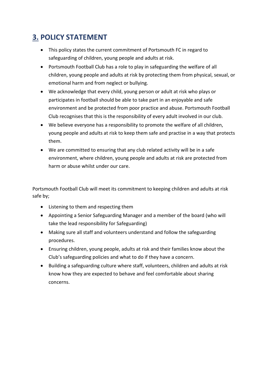## **3. POLICY STATEMENT**

- This policy states the current commitment of Portsmouth FC in regard to safeguarding of children, young people and adults at risk.
- Portsmouth Football Club has a role to play in safeguarding the welfare of all children, young people and adults at risk by protecting them from physical, sexual, or emotional harm and from neglect or bullying.
- We acknowledge that every child, young person or adult at risk who plays or participates in football should be able to take part in an enjoyable and safe environment and be protected from poor practice and abuse. Portsmouth Football Club recognises that this is the responsibility of every adult involved in our club.
- We believe everyone has a responsibility to promote the welfare of all children, young people and adults at risk to keep them safe and practise in a way that protects them.
- We are committed to ensuring that any club related activity will be in a safe environment, where children, young people and adults at risk are protected from harm or abuse whilst under our care.

Portsmouth Football Club will meet its commitment to keeping children and adults at risk safe by;

- Listening to them and respecting them
- Appointing a Senior Safeguarding Manager and a member of the board (who will take the lead responsibility for Safeguarding)
- Making sure all staff and volunteers understand and follow the safeguarding procedures.
- Ensuring children, young people, adults at risk and their families know about the Club's safeguarding policies and what to do if they have a concern.
- Building a safeguarding culture where staff, volunteers, children and adults at risk know how they are expected to behave and feel comfortable about sharing concerns.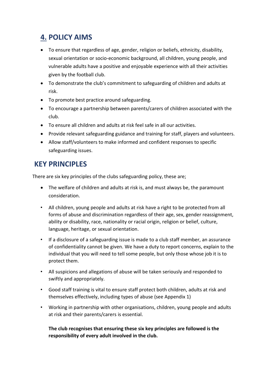## **4. POLICY AIMS**

- To ensure that regardless of age, gender, religion or beliefs, ethnicity, disability, sexual orientation or socio-economic background, all children, young people, and vulnerable adults have a positive and enjoyable experience with all their activities given by the football club.
- To demonstrate the club's commitment to safeguarding of children and adults at risk.
- To promote best practice around safeguarding.
- To encourage a partnership between parents/carers of children associated with the club.
- To ensure all children and adults at risk feel safe in all our activities.
- Provide relevant safeguarding guidance and training for staff, players and volunteers.
- Allow staff/volunteers to make informed and confident responses to specific safeguarding issues.

## **KEY PRINCIPLES**

There are six key principles of the clubs safeguarding policy, these are;

- The welfare of children and adults at risk is, and must always be, the paramount consideration.
- All children, young people and adults at risk have a right to be protected from all forms of abuse and discrimination regardless of their age, sex, gender reassignment, ability or disability, race, nationality or racial origin, religion or belief, culture, language, heritage, or sexual orientation.
- If a disclosure of a safeguarding issue is made to a club staff member, an assurance of confidentiality cannot be given. We have a duty to report concerns, explain to the individual that you will need to tell some people, but only those whose job it is to protect them.
- All suspicions and allegations of abuse will be taken seriously and responded to swiftly and appropriately.
- Good staff training is vital to ensure staff protect both children, adults at risk and themselves effectively, including types of abuse (see Appendix 1)
- Working in partnership with other organisations, children, young people and adults at risk and their parents/carers is essential.

**The club recognises that ensuring these six key principles are followed is the responsibility of every adult involved in the club.**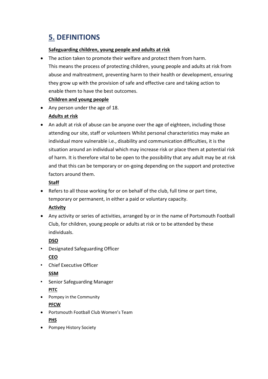## **5. DEFINITIONS**

#### **Safeguarding children, young people and adults at risk**

• The action taken to promote their welfare and protect them from harm. This means the process of protecting children, young people and adults at risk from abuse and maltreatment, preventing harm to their health or development, ensuring they grow up with the provision of safe and effective care and taking action to enable them to have the best outcomes.

#### **Children and young people**

• Any person under the age of 18.

#### **Adults at risk**

• An adult at risk of abuse can be anyone over the age of eighteen, including those attending our site, staff or volunteers Whilst personal characteristics may make an individual more vulnerable i.e., disability and communication difficulties, it is the situation around an individual which may increase risk or place them at potential risk of harm. It is therefore vital to be open to the possibility that any adult may be at risk and that this can be temporary or on-going depending on the support and protective factors around them.

#### **Staff**

• Refers to all those working for or on behalf of the club, full time or part time, temporary or permanent, in either a paid or voluntary capacity.

#### **Activity**

• Any activity or series of activities, arranged by or in the name of Portsmouth Football Club, for children, young people or adults at risk or to be attended by these individuals.

**DSO**

• Designated Safeguarding Officer

**CEO**

• Chief Executive Officer

#### **SSM**

- Senior Safeguarding Manager **PITC**
- Pompey in the Community

#### **PFCW**

- Portsmouth Football Club Women's Team **PHS**
- Pompey History Society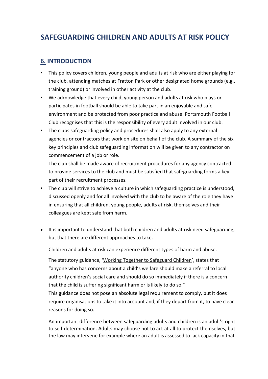## **SAFEGUARDING CHILDREN AND ADULTS AT RISK POLICY**

## **6. INTRODUCTION**

- This policy covers children, young people and adults at risk who are either playing for the club, attending matches at Fratton Park or other designated home grounds (e.g., training ground) or involved in other activity at the club.
- We acknowledge that every child, young person and adults at risk who plays or participates in football should be able to take part in an enjoyable and safe environment and be protected from poor practice and abuse. Portsmouth Football Club recognises that this is the responsibility of every adult involved in our club.
- The clubs safeguarding policy and procedures shall also apply to any external agencies or contractors that work on site on behalf of the club. A summary of the six key principles and club safeguarding information will be given to any contractor on commencement of a job or role.

The club shall be made aware of recruitment procedures for any agency contracted to provide services to the club and must be satisfied that safeguarding forms a key part of their recruitment processes.

- The club will strive to achieve a culture in which safeguarding practice is understood, discussed openly and for all involved with the club to be aware of the role they have in ensuring that all children, young people, adults at risk, themselves and their colleagues are kept safe from harm.
- It is important to understand that both children and adults at risk need safeguarding, but that there are different approaches to take.

Children and adults at risk can experience different types of harm and abuse.

The statutory guidance, 'Working Together to Safeguard Children', states that "anyone who has concerns about a child's welfare should make a referral to local authority children's social care and should do so immediately if there is a concern that the child is suffering significant harm or is likely to do so."

This guidance does not pose an absolute legal requirement to comply, but it does require organisations to take it into account and, if they depart from it, to have clear reasons for doing so.

An important difference between safeguarding adults and children is an adult's right to self-determination. Adults may choose not to act at all to protect themselves, but the law may intervene for example where an adult is assessed to lack capacity in that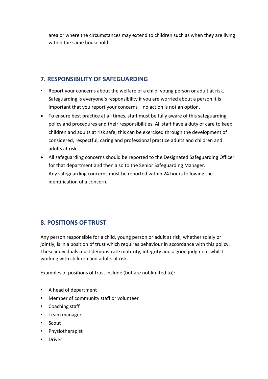area or where the circumstances may extend to children such as when they are living within the same household.

## **7. RESPONSIBILITY OF SAFEGUARDING**

- Report your concerns about the welfare of a child, young person or adult at risk. Safeguarding is everyone's responsibility if you are worried about a person it is important that you report your concerns – no action is not an option.
- To ensure best practice at all times, staff must be fully aware of this safeguarding policy and procedures and their responsibilities. All staff have a duty of care to keep children and adults at risk safe; this can be exercised through the development of considered, respectful, caring and professional practice adults and children and adults at risk.
- All safeguarding concerns should be reported to the Designated Safeguarding Officer for that department and then also to the Senior Safeguarding Manager. Any safeguarding concerns must be reported within 24 hours following the identification of a concern.

## **8. POSITIONS OF TRUST**

Any person responsible for a child, young person or adult at risk, whether solely or jointly, is in a position of trust which requires behaviour in accordance with this policy. These individuals must demonstrate maturity, integrity and a good judgment whilst working with children and adults at risk.

Examples of positions of trust include (but are not limited to):

- A head of department
- Member of community staff or volunteer
- Coaching staff
- Team manager
- Scout
- Physiotherapist
- Driver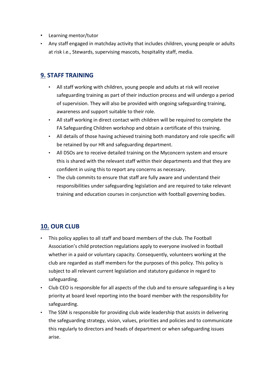- Learning mentor/tutor
- Any staff engaged in matchday activity that includes children, young people or adults at risk i.e., Stewards, supervising mascots, hospitality staff, media.

### **9. STAFF TRAINING**

- All staff working with children, young people and adults at risk will receive safeguarding training as part of their induction process and will undergo a period of supervision. They will also be provided with ongoing safeguarding training, awareness and support suitable to their role.
- All staff working in direct contact with children will be required to complete the FA Safeguarding Children workshop and obtain a certificate of this training.
- All details of those having achieved training both mandatory and role specific will be retained by our HR and safeguarding department.
- All DSOs are to receive detailed training on the Myconcern system and ensure this is shared with the relevant staff within their departments and that they are confident in using this to report any concerns as necessary.
- The club commits to ensure that staff are fully aware and understand their responsibilities under safeguarding legislation and are required to take relevant training and education courses in conjunction with football governing bodies.

## **10. OUR CLUB**

- This policy applies to all staff and board members of the club. The Football Association's child protection regulations apply to everyone involved in football whether in a paid or voluntary capacity. Consequently, volunteers working at the club are regarded as staff members for the purposes of this policy. This policy is subject to all relevant current legislation and statutory guidance in regard to safeguarding.
- Club CEO is responsible for all aspects of the club and to ensure safeguarding is a key priority at board level reporting into the board member with the responsibility for safeguarding.
- The SSM is responsible for providing club wide leadership that assists in delivering the safeguarding strategy, vision, values, priorities and policies and to communicate this regularly to directors and heads of department or when safeguarding issues arise.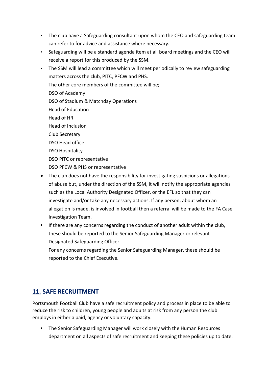- The club have a Safeguarding consultant upon whom the CEO and safeguarding team can refer to for advice and assistance where necessary.
- Safeguarding will be a standard agenda item at all board meetings and the CEO will receive a report for this produced by the SSM.
- The SSM will lead a committee which will meet periodically to review safeguarding matters across the club, PITC, PFCW and PHS. The other core members of the committee will be; DSO of Academy DSO of Stadium & Matchday Operations Head of Education Head of HR Head of Inclusion Club Secretary DSO Head office DSO Hospitality DSO PITC or representative DSO PFCW & PHS or representative
- The club does not have the responsibility for investigating suspicions or allegations of abuse but, under the direction of the SSM, it will notify the appropriate agencies such as the Local Authority Designated Officer, or the EFL so that they can investigate and/or take any necessary actions. If any person, about whom an allegation is made, is involved in football then a referral will be made to the FA Case Investigation Team.
- If there are any concerns regarding the conduct of another adult within the club, these should be reported to the Senior Safeguarding Manager or relevant Designated Safeguarding Officer.

For any concerns regarding the Senior Safeguarding Manager, these should be reported to the Chief Executive.

## **11. SAFE RECRUITMENT**

Portsmouth Football Club have a safe recruitment policy and process in place to be able to reduce the risk to children, young people and adults at risk from any person the club employs in either a paid, agency or voluntary capacity.

• The Senior Safeguarding Manager will work closely with the Human Resources department on all aspects of safe recruitment and keeping these policies up to date.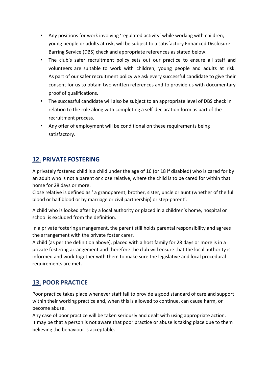- Any positions for work involving 'regulated activity' while working with children, young people or adults at risk, will be subject to a satisfactory Enhanced Disclosure Barring Service (DBS) check and appropriate references as stated below.
- The club's safer recruitment policy sets out our practice to ensure all staff and volunteers are suitable to work with children, young people and adults at risk. As part of our safer recruitment policy we ask every successful candidate to give their consent for us to obtain two written references and to provide us with documentary proof of qualifications.
- The successful candidate will also be subject to an appropriate level of DBS check in relation to the role along with completing a self-declaration form as part of the recruitment process.
- Any offer of employment will be conditional on these requirements being satisfactory.

## **12. PRIVATE FOSTERING**

A privately fostered child is a child under the age of 16 (or 18 if disabled) who is cared for by an adult who is not a parent or close relative, where the child is to be cared for within that home for 28 days or more.

Close relative is defined as ' a grandparent, brother, sister, uncle or aunt (whether of the full blood or half blood or by marriage or civil partnership) or step-parent'.

A child who is looked after by a local authority or placed in a children's home, hospital or school is excluded from the definition.

In a private fostering arrangement, the parent still holds parental responsibility and agrees the arrangement with the private foster carer.

A child (as per the definition above), placed with a host family for 28 days or more is in a private fostering arrangement and therefore the club will ensure that the local authority is informed and work together with them to make sure the legislative and local procedural requirements are met.

## **13. POOR PRACTICE**

Poor practice takes place whenever staff fail to provide a good standard of care and support within their working practice and, when this is allowed to continue, can cause harm, or become abuse.

Any case of poor practice will be taken seriously and dealt with using appropriate action. It may be that a person is not aware that poor practice or abuse is taking place due to them believing the behaviour is acceptable.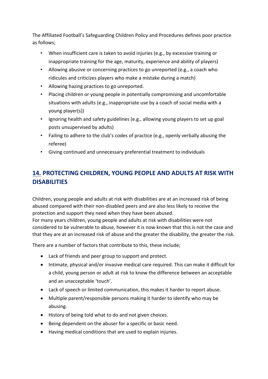The Affiliated Football's Safeguarding Children Policy and Procedures defines poor practice as follows;

- When insufficient care is taken to avoid injuries (e.g., by excessive training or inappropriate training for the age, maturity, experience and ability of players)
- Allowing abusive or concerning practices to go unreported (e.g., a coach who ridicules and criticizes players who make a mistake during a match)
- Allowing hazing practices to go unreported.
- Placing children or young people in potentially compromising and uncomfortable situations with adults (e.g., inappropriate use by a coach of social media with a young player(s))
- Ignoring health and safety guidelines (e.g., allowing young players to set up goal posts unsupervised by adults)
- Failing to adhere to the club's codes of practice (e.g., openly verbally abusing the referee)
- Giving continued and unnecessary preferential treatment to individuals

## **14. PROTECTING CHILDREN, YOUNG PEOPLE AND ADULTS AT RISK WITH DISABILITIES**

Children, young people and adults at risk with disabilities are at an increased risk of being abused compared with their non-disabled peers and are also less likely to receive the protection and support they need when they have been abused.

For many years children, young people and adults at risk with disabilities were not considered to be vulnerable to abuse, however it is now known that this is not the case and that they are at an increased risk of abuse and the greater the disability, the greater the risk.

There are a number of factors that contribute to this, these include;

- Lack of friends and peer group to support and protect.
- Intimate, physical and/or invasive medical care required. This can make it difficult for a child, young person or adult at risk to know the difference between an acceptable and an unacceptable 'touch'.
- Lack of speech or limited communication, this makes it harder to report abuse.
- Multiple parent/responsible persons making it harder to identify who may be abusing.
- History of being told what to do and not given choices.
- Being dependent on the abuser for a specific or basic need.
- Having medical conditions that are used to explain injuries.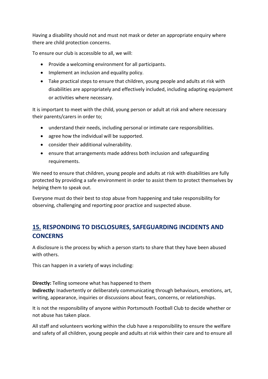Having a disability should not and must not mask or deter an appropriate enquiry where there are child protection concerns.

To ensure our club is accessible to all, we will:

- Provide a welcoming environment for all participants.
- Implement an inclusion and equality policy.
- Take practical steps to ensure that children, young people and adults at risk with disabilities are appropriately and effectively included, including adapting equipment or activities where necessary.

It is important to meet with the child, young person or adult at risk and where necessary their parents/carers in order to;

- understand their needs, including personal or intimate care responsibilities.
- agree how the individual will be supported.
- consider their additional vulnerability.
- ensure that arrangements made address both inclusion and safeguarding requirements.

We need to ensure that children, young people and adults at risk with disabilities are fully protected by providing a safe environment in order to assist them to protect themselves by helping them to speak out.

Everyone must do their best to stop abuse from happening and take responsibility for observing, challenging and reporting poor practice and suspected abuse.

## **15. RESPONDING TO DISCLOSURES, SAFEGUARDING INCIDENTS AND CONCERNS**

A disclosure is the process by which a person starts to share that they have been abused with others.

This can happen in a variety of ways including:

**Directly:** Telling someone what has happened to them **Indirectly:** Inadvertently or deliberately communicating through behaviours, emotions, art, writing, appearance, inquiries or discussions about fears, concerns, or relationships.

It is not the responsibility of anyone within Portsmouth Football Club to decide whether or not abuse has taken place.

All staff and volunteers working within the club have a responsibility to ensure the welfare and safety of all children, young people and adults at risk within their care and to ensure all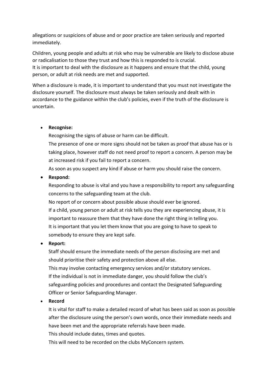allegations or suspicions of abuse and or poor practice are taken seriously and reported immediately.

Children, young people and adults at risk who may be vulnerable are likely to disclose abuse or radicalisation to those they trust and how this is responded to is crucial. It is important to deal with the disclosure as it happens and ensure that the child, young person, or adult at risk needs are met and supported.

When a disclosure is made, it is important to understand that you must not investigate the disclosure yourself. The disclosure must always be taken seriously and dealt with in accordance to the guidance within the club's policies, even if the truth of the disclosure is uncertain.

#### • **Recognise:**

Recognising the signs of abuse or harm can be difficult.

The presence of one or more signs should not be taken as proof that abuse has or is taking place, however staff do not need proof to report a concern. A person may be at increased risk if you fail to report a concern.

As soon as you suspect any kind if abuse or harm you should raise the concern.

#### • **Respond:**

Responding to abuse is vital and you have a responsibility to report any safeguarding concerns to the safeguarding team at the club.

No report of or concern about possible abuse should ever be ignored.

If a child, young person or adult at risk tells you they are experiencing abuse, it is important to reassure them that they have done the right thing in telling you. It is important that you let them know that you are going to have to speak to somebody to ensure they are kept safe.

#### • **Report:**

Staff should ensure the immediate needs of the person disclosing are met and should prioritise their safety and protection above all else.

This may involve contacting emergency services and/or statutory services. If the individual is not in immediate danger, you should follow the club's safeguarding policies and procedures and contact the Designated Safeguarding Officer or Senior Safeguarding Manager.

#### • **Record**

It is vital for staff to make a detailed record of what has been said as soon as possible after the disclosure using the person's own words, once their immediate needs and have been met and the appropriate referrals have been made.

This should include dates, times and quotes.

This will need to be recorded on the clubs MyConcern system.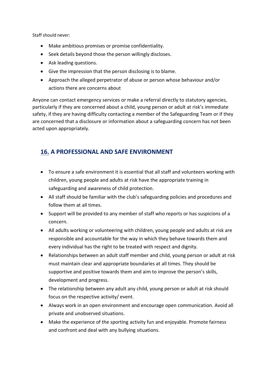Staff should never:

- Make ambitious promises or promise confidentiality.
- Seek details beyond those the person willingly discloses.
- Ask leading questions.
- Give the impression that the person disclosing is to blame.
- Approach the alleged perpetrator of abuse or person whose behaviour and/or actions there are concerns about

Anyone can contact emergency services or make a referral directly to statutory agencies, particularly if they are concerned about a child, young person or adult at risk's immediate safety, if they are having difficulty contacting a member of the Safeguarding Team or if they are concerned that a disclosure or information about a safeguarding concern has not been acted upon appropriately.

## **16. A PROFESSIONAL AND SAFE ENVIRONMENT**

- To ensure a safe environment it is essential that all staff and volunteers working with children, young people and adults at risk have the appropriate training in safeguarding and awareness of child protection.
- All staff should be familiar with the club's safeguarding policies and procedures and follow them at all times.
- Support will be provided to any member of staff who reports or has suspicions of a concern.
- All adults working or volunteering with children, young people and adults at risk are responsible and accountable for the way in which they behave towards them and every individual has the right to be treated with respect and dignity.
- Relationships between an adult staff member and child, young person or adult at risk must maintain clear and appropriate boundaries at all times. They should be supportive and positive towards them and aim to improve the person's skills, development and progress.
- The relationship between any adult any child, young person or adult at risk should focus on the respective activity/ event.
- Always work in an open environment and encourage open communication. Avoid all private and unobserved situations.
- Make the experience of the sporting activity fun and enjoyable. Promote fairness and confront and deal with any bullying situations.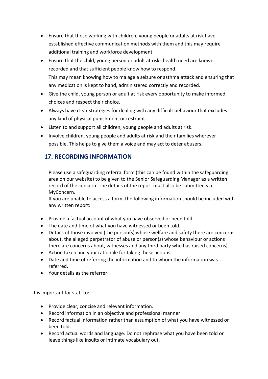- Ensure that those working with children, young people or adults at risk have established effective communication methods with them and this may require additional training and workforce development.
- Ensure that the child, young person or adult at risks health need are known, recorded and that sufficient people know how to respond. This may mean knowing how to ma age a seizure or asthma attack and ensuring that any medication is kept to hand, administered correctly and recorded.
- Give the child, young person or adult at risk every opportunity to make informed choices and respect their choice.
- Always have clear strategies for dealing with any difficult behaviour that excludes any kind of physical punishment or restraint.
- Listen to and support all children, young people and adults at risk.
- Involve children, young people and adults at risk and their families wherever possible. This helps to give them a voice and may act to deter abusers.

## **17. RECORDING INFORMATION**

Please use a safeguarding referral form (this can be found within the safeguarding area on our website) to be given to the Senior Safeguarding Manager as a written record of the concern. The details of the report must also be submitted via MyConcern.

If you are unable to access a form, the following information should be included with any written report:

- Provide a factual account of what you have observed or been told.
- The date and time of what you have witnessed or been told.
- Details of those involved (the person(s) whose welfare and safety there are concerns about, the alleged perpetrator of abuse or person(s) whose behaviour or actions there are concerns about, witnesses and any third party who has raised concerns)
- Action taken and your rationale for taking these actions.
- Date and time of referring the information and to whom the information was referred.
- Your details as the referrer

It is important for staff to:

- Provide clear, concise and relevant information.
- Record information in an objective and professional manner
- Record factual information rather than assumption of what you have witnessed or been told.
- Record actual words and language. Do not rephrase what you have been told or leave things like insults or intimate vocabulary out.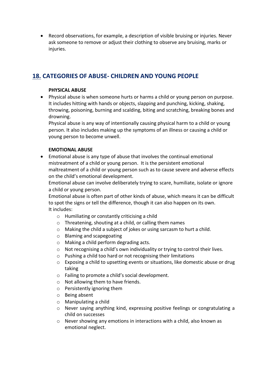• Record observations, for example, a description of visible bruising or injuries. Never ask someone to remove or adjust their clothing to observe any bruising, marks or injuries.

## **18. CATEGORIES OF ABUSE- CHILDREN AND YOUNG PEOPLE**

#### **PHYSICAL ABUSE**

• Physical abuse is when someone hurts or harms a child or young person on purpose. It includes hitting with hands or objects, slapping and punching, kicking, shaking, throwing, poisoning, burning and scalding, biting and scratching, breaking bones and drowning.

Physical abuse is any way of intentionally causing physical harm to a child or young person. It also includes making up the symptoms of an illness or causing a child or young person to become unwell.

#### **EMOTIONAL ABUSE**

• Emotional abuse is any type of abuse that involves the continual emotional mistreatment of a child or young person. It is the persistent emotional maltreatment of a child or young person such as to cause severe and adverse effects on the child's emotional development.

Emotional abuse can involve deliberately trying to scare, humiliate, isolate or ignore a child or young person.

Emotional abuse is often part of other kinds of abuse, which means it can be difficult to spot the signs or tell the difference, though it can also happen on its own. It includes:

- o Humiliating or constantly criticising a child
- o Threatening, shouting at a child, or calling them names
- o Making the child a subject of jokes or using sarcasm to hurt a child.
- o Blaming and scapegoating
- o Making a child perform degrading acts.
- o Not recognising a child's own individuality or trying to control their lives.
- o Pushing a child too hard or not recognising their limitations
- $\circ$  Exposing a child to upsetting events or situations, like domestic abuse or drug taking
- o Failing to promote a child's social development.
- o Not allowing them to have friends.
- o Persistently ignoring them
- o Being absent
- o Manipulating a child
- o Never saying anything kind, expressing positive feelings or congratulating a child on successes
- $\circ$  Never showing any emotions in interactions with a child, also known as emotional neglect.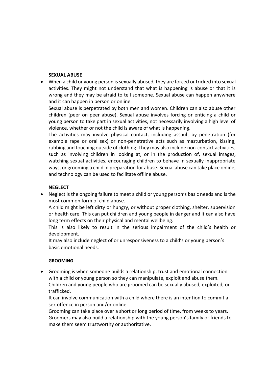#### **SEXUAL ABUSE**

• When a child or young person is sexually abused, they are forced or tricked into sexual activities. They might not understand that what is happening is abuse or that it is wrong and they may be afraid to tell someone. Sexual abuse can happen anywhere and it can happen in person or online.

Sexual abuse is perpetrated by both men and women. Children can also abuse other children (peer on peer abuse). Sexual abuse involves forcing or enticing a child or young person to take part in sexual activities, not necessarily involving a high level of violence, whether or not the child is aware of what is happening.

The activities may involve physical contact, including assault by penetration (for example rape or oral sex) or non-penetrative acts such as masturbation, kissing, rubbing and touching outside of clothing. They may also include non-contact activities, such as involving children in looking at, or in the production of, sexual images, watching sexual activities, encouraging children to behave in sexually inappropriate ways, or grooming a child in preparation for abuse. Sexual abuse can take place online, and technology can be used to facilitate offline abuse.

#### **NEGLECT**

• Neglect is the ongoing failure to meet a child or young person's basic needs and is the most common form of child abuse.

A child might be left dirty or hungry, or without proper clothing, shelter, supervision or health care. This can put children and young people in danger and it can also have long term effects on their physical and mental wellbeing.

This is also likely to result in the serious impairment of the child's health or development.

It may also include neglect of or unresponsiveness to a child's or young person's basic emotional needs.

#### **GROOMING**

• Grooming is when someone builds a relationship, trust and emotional connection with a child or young person so they can manipulate, exploit and abuse them. Children and young people who are groomed can be sexually abused, exploited, or trafficked.

It can involve communication with a child where there is an intention to commit a sex offence in person and/or online.

Grooming can take place over a short or long period of time, from weeks to years. Groomers may also build a relationship with the young person's family or friends to make them seem trustworthy or authoritative.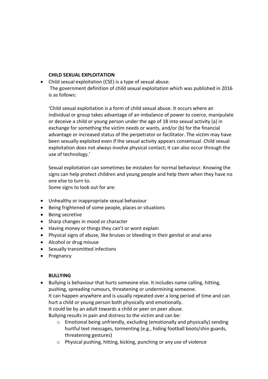#### **CHILD SEXUAL EXPLOITATION**

• Child sexual exploitation (CSE) is a type of sexual abuse. The government definition of child sexual exploitation which was published in 2016 is as follows:

'Child sexual exploitation is a form of child sexual abuse. It occurs where an individual or group takes advantage of an imbalance of power to coerce, manipulate or deceive a child or young person under the age of 18 into sexual activity (a) in exchange for something the victim needs or wants, and/or (b) for the financial advantage or increased status of the perpetrator or facilitator. The victim may have been sexually exploited even if the sexual activity appears consensual. Child sexual exploitation does not always involve physical contact; it can also occur through the use of technology.'

Sexual exploitation can sometimes be mistaken for normal behaviour. Knowing the signs can help protect children and young people and help them when they have no one else to turn to.

Some signs to look out for are:

- Unhealthy or inappropriate sexual behaviour
- Being frightened of some people, places or situations
- Being secretive
- Sharp changes in mood or character
- Having money or things they can't or wont explain
- Physical signs of abuse, like bruises or bleeding in their genital or anal area
- Alcohol or drug misuse
- Sexually transmitted infections
- Pregnancy

#### **BULLYING**

• Bullying is behaviour that hurts someone else. It includes name calling, hitting, pushing, spreading rumours, threatening or undermining someone. It can happen anywhere and is usually repeated over a long period of time and can hurt a child or young person both physically and emotionally. It could be by an adult towards a child or peer on peer abuse.

Bullying results in pain and distress to the victim and can be:

- o Emotional being unfriendly, excluding (emotionally and physically) sending hurtful text messages, tormenting (e.g., hiding football boots/shin guards, threatening gestures)
- o Physical pushing, hitting, kicking, punching or any use of violence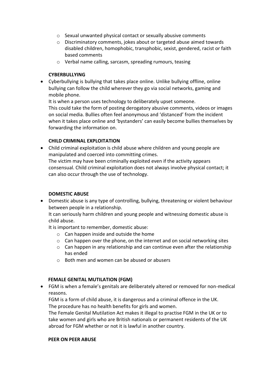- o Sexual unwanted physical contact or sexually abusive comments
- o Discriminatory comments, jokes about or targeted abuse aimed towards disabled children, homophobic, transphobic, sexist, gendered, racist or faith based comments
- o Verbal name calling, sarcasm, spreading rumours, teasing

#### **CYBERBULLYING**

• Cyberbullying is bullying that takes place online. Unlike bullying offline, online bullying can follow the child wherever they go via social networks, gaming and mobile phone.

It is when a person uses technology to deliberately upset someone. This could take the form of posting derogatory abusive comments, videos or images on social media. Bullies often feel anonymous and 'distanced' from the incident when it takes place online and 'bystanders' can easily become bullies themselves by forwarding the information on.

#### **CHILD CRIMINAL EXPLOITATION**

• Child criminal exploitation is child abuse where children and young people are manipulated and coerced into committing crimes. The victim may have been criminally exploited even if the activity appears consensual. Child criminal exploitation does not always involve physical contact; it can also occur through the use of technology.

#### **DOMESTIC ABUSE**

• Domestic abuse is any type of controlling, bullying, threatening or violent behaviour between people in a relationship.

It can seriously harm children and young people and witnessing domestic abuse is child abuse.

It is important to remember, domestic abuse:

- o Can happen inside and outside the home
- $\circ$  Can happen over the phone, on the internet and on social networking sites
- $\circ$  Can happen in any relationship and can continue even after the relationship has ended
- o Both men and women can be abused or abusers

#### **FEMALE GENITAL MUTILATION (FGM)**

• FGM is when a female's genitals are deliberately altered or removed for non-medical reasons.

FGM is a form of child abuse, it is dangerous and a criminal offence in the UK. The procedure has no health benefits for girls and women.

The Female Genital Mutilation Act makes it illegal to practise FGM in the UK or to take women and girls who are British nationals or permanent residents of the UK abroad for FGM whether or not it is lawful in another country.

#### **PEER ON PEER ABUSE**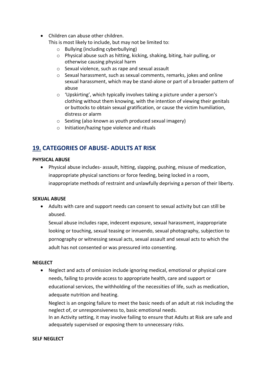• Children can abuse other children.

This is most likely to include, but may not be limited to:

- o Bullying (including cyberbullying)
- o Physical abuse such as hitting, kicking, shaking, biting, hair pulling, or otherwise causing physical harm
- o Sexual violence, such as rape and sexual assault
- o Sexual harassment, such as sexual comments, remarks, jokes and online sexual harassment, which may be stand-alone or part of a broader pattern of abuse
- o 'Upskirting', which typically involves taking a picture under a person's clothing without them knowing, with the intention of viewing their genitals or buttocks to obtain sexual gratification, or cause the victim humiliation, distress or alarm
- o Sexting (also known as youth produced sexual imagery)
- o Initiation/hazing type violence and rituals

## **19. CATEGORIES OF ABUSE- ADULTS AT RISK**

#### **PHYSICAL ABUSE**

• Physical abuse includes- assault, hitting, slapping, pushing, misuse of medication, inappropriate physical sanctions or force feeding, being locked in a room, inappropriate methods of restraint and unlawfully depriving a person of their liberty.

#### **SEXUAL ABUSE**

• Adults with care and support needs can consent to sexual activity but can still be abused.

Sexual abuse includes rape, indecent exposure, sexual harassment, inappropriate looking or touching, sexual teasing or innuendo, sexual photography, subjection to pornography or witnessing sexual acts, sexual assault and sexual acts to which the adult has not consented or was pressured into consenting.

#### **NEGLECT**

• Neglect and acts of omission include ignoring medical, emotional or physical care needs, failing to provide access to appropriate health, care and support or educational services, the withholding of the necessities of life, such as medication, adequate nutrition and heating.

Neglect is an ongoing failure to meet the basic needs of an adult at risk including the neglect of, or unresponsiveness to, basic emotional needs.

In an Activity setting, it may involve failing to ensure that Adults at Risk are safe and adequately supervised or exposing them to unnecessary risks.

#### **SELF NEGLECT**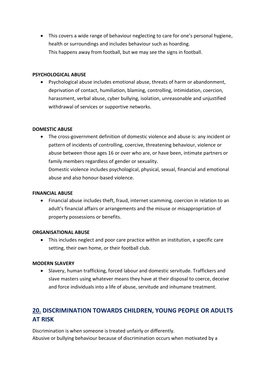• This covers a wide range of behaviour neglecting to care for one's personal hygiene, health or surroundings and includes behaviour such as hoarding. This happens away from football, but we may see the signs in football.

#### **PSYCHOLOGICAL ABUSE**

• Psychological abuse includes emotional abuse, threats of harm or abandonment, deprivation of contact, humiliation, blaming, controlling, intimidation, coercion, harassment, verbal abuse, cyber bullying, isolation, unreasonable and unjustified withdrawal of services or supportive networks.

#### **DOMESTIC ABUSE**

• The cross-government definition of domestic violence and abuse is: any incident or pattern of incidents of controlling, coercive, threatening behaviour, violence or abuse between those ages 16 or over who are, or have been, intimate partners or family members regardless of gender or sexuality.

Domestic violence includes psychological, physical, sexual, financial and emotional abuse and also honour-based violence.

#### **FINANCIAL ABUSE**

• Financial abuse includes theft, fraud, internet scamming, coercion in relation to an adult's financial affairs or arrangements and the misuse or misappropriation of property possessions or benefits.

#### **ORGANISATIONAL ABUSE**

• This includes neglect and poor care practice within an institution, a specific care setting, their own home, or their football club.

#### **MODERN SLAVERY**

• Slavery, human trafficking, forced labour and domestic servitude. Traffickers and slave masters using whatever means they have at their disposal to coerce, deceive and force individuals into a life of abuse, servitude and inhumane treatment.

## **20. DISCRIMINATION TOWARDS CHILDREN, YOUNG PEOPLE OR ADULTS AT RISK**

Discrimination is when someone is treated unfairly or differently. Abusive or bullying behaviour because of discrimination occurs when motivated by a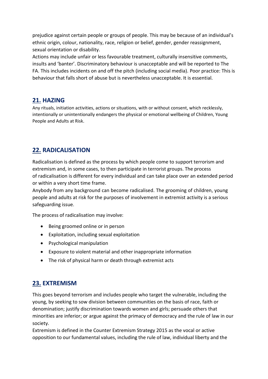prejudice against certain people or groups of people. This may be because of an individual's ethnic origin, colour, nationality, race, religion or belief, gender, gender reassignment, sexual orientation or disability.

Actions may include unfair or less favourable treatment, culturally insensitive comments, insults and 'banter'. Discriminatory behaviour is unacceptable and will be reported to The FA. This includes incidents on and off the pitch (including social media). Poor practice: This is behaviour that falls short of abuse but is nevertheless unacceptable. It is essential.

### **21. HAZING**

Any rituals, initiation activities, actions or situations, with or without consent, which recklessly, intentionally or unintentionally endangers the physical or emotional wellbeing of Children, Young People and Adults at Risk.

## **22. RADICALISATION**

Radicalisation is defined as the process by which people come to support terrorism and extremism and, in some cases, to then participate in terrorist groups. The process of radicalisation is different for every individual and can take place over an extended period or within a very short time frame.

Anybody from any background can become radicalised. The grooming of children, young people and adults at risk for the purposes of involvement in extremist activity is a serious safeguarding issue.

The process of radicalisation may involve:

- Being groomed online or in person
- Exploitation, including sexual exploitation
- Psychological manipulation
- Exposure to violent material and other inappropriate information
- The risk of physical harm or death through extremist acts

## **23. EXTREMISM**

This goes beyond terrorism and includes people who target the vulnerable, including the young, by seeking to sow division between communities on the basis of race, faith or denomination; justify discrimination towards women and girls; persuade others that minorities are inferior; or argue against the primacy of democracy and the rule of law in our society.

Extremism is defined in the Counter Extremism Strategy 2015 as the vocal or active opposition to our fundamental values, including the rule of law, individual liberty and the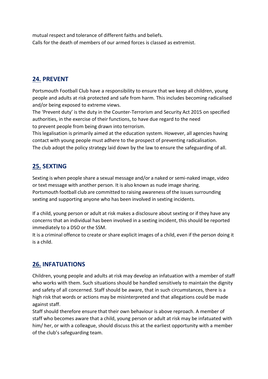mutual respect and tolerance of different faiths and beliefs. Calls for the death of members of our armed forces is classed as extremist.

## **24. PREVENT**

Portsmouth Football Club have a responsibility to ensure that we keep all children, young people and adults at risk protected and safe from harm. This includes becoming radicalised and/or being exposed to extreme views.

The 'Prevent duty' is the duty in the Counter-Terrorism and Security Act 2015 on specified authorities, in the exercise of their functions, to have due regard to the need to prevent people from being drawn into terrorism.

This legalisation is primarily aimed at the education system. However, all agencies having contact with young people must adhere to the prospect of preventing radicalisation. The club adopt the policy strategy laid down by the law to ensure the safeguarding of all.

## **25. SEXTING**

Sexting is when people share a sexual message and/or a naked or semi-naked image, video or text message with another person. It is also known as nude image sharing. Portsmouth football club are committed to raising awareness of the issues surrounding sexting and supporting anyone who has been involved in sexting incidents.

If a child, young person or adult at risk makes a disclosure about sexting or if they have any concerns that an individual has been involved in a sexting incident, this should be reported immediately to a DSO or the SSM.

It is a criminal offence to create or share explicit images of a child, even if the person doing it is a child.

## **26. INFATUATIONS**

Children, young people and adults at risk may develop an infatuation with a member of staff who works with them. Such situations should be handled sensitively to maintain the dignity and safety of all concerned. Staff should be aware, that in such circumstances, there is a high risk that words or actions may be misinterpreted and that allegations could be made against staff.

Staff should therefore ensure that their own behaviour is above reproach. A member of staff who becomes aware that a child, young person or adult at risk may be infatuated with him/ her, or with a colleague, should discuss this at the earliest opportunity with a member of the club's safeguarding team.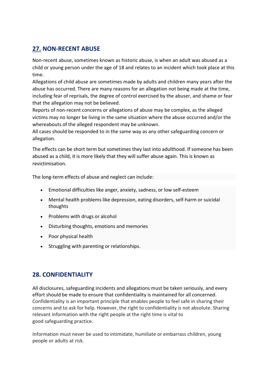## **27. NON-RECENT ABUSE**

Non-recent abuse, sometimes known as historic abuse, is when an adult was abused as a child or young person under the age of 18 and relates to an incident which took place at this time.

Allegations of child abuse are sometimes made by adults and children many years after the abuse has occurred. There are many reasons for an allegation not being made at the time, including fear of reprisals, the degree of control exercised by the abuser, and shame or fear that the allegation may not be believed.

Reports of non-recent concerns or allegations of abuse may be complex, as the alleged victims may no longer be living in the same situation where the abuse occurred and/or the whereabouts of the alleged respondent may be unknown.

All cases should be responded to in the same way as any other safeguarding concern or allegation.

The effects can be short term but sometimes they last into adulthood. If someone has been abused as a child, it is more likely that they will suffer abuse again. This is known as revictimisation.

The long-term effects of abuse and neglect can include:

- Emotional difficulties like anger, anxiety, sadness, or low self-esteem
- Mental health problems like depression, eating disorders, self-harm or suicidal thoughts
- Problems with drugs or alcohol
- Disturbing thoughts, emotions and memories
- Poor physical health
- Struggling with parenting or relationships.

## **28. CONFIDENTIALITY**

All disclosures, safeguarding incidents and allegations must be taken seriously, and every effort should be made to ensure that confidentiality is maintained for all concerned. Confidentiality is an important principle that enables people to feel safe in sharing their concerns and to ask for help. However, the right to confidentiality is not absolute. Sharing relevant information with the right people at the right time is vital to good safeguarding practice.

Information must never be used to intimidate, humiliate or embarrass children, young people or adults at risk.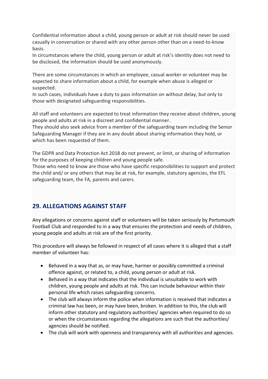Confidential information about a child, young person or adult at risk should never be used casually in conversation or shared with any other person other than on a need-to-know basis.

In circumstances where the child, young person or adult at risk's identity does not need to be disclosed, the information should be used anonymously.

There are some circumstances in which an employee, casual worker or volunteer may be expected to share information about a child, for example when abuse is alleged or suspected.

In such cases, individuals have a duty to pass information on without delay, but only to those with designated safeguarding responsibilities.

All staff and volunteers are expected to treat information they receive about children, young people and adults at risk in a discreet and confidential manner.

They should also seek advice from a member of the safeguarding team including the Senior Safeguarding Manager if they are in any doubt about sharing information they hold, or which has been requested of them.

The GDPR and Data Protection Act 2018 do not prevent, or limit, or sharing of information for the purposes of keeping children and young people safe.

Those who need to know are those who have specific responsibilities to support and protect the child and/ or any others that may be at risk, for example, statutory agencies, the EFL safeguarding team, the FA, parents and carers.

## **29. ALLEGATIONS AGAINST STAFF**

Any allegations or concerns against staff or volunteers will be taken seriously by Portsmouth Football Club and responded to in a way that ensures the protection and needs of children, young people and adults at risk are of the first priority.

This procedure will always be followed in respect of all cases where it is alleged that a staff member of volunteer has:

- Behaved in a way that as, or may have, harmer or possibly committed a criminal offence against, or related to, a child, young person or adult at risk.
- Behaved in a way that indicates that the individual is unsuitable to work with children, young people and adults at risk. This can include behaviour within their personal life which raises safeguarding concerns.
- The club will always inform the police when information is received that indicates a criminal law has been, or may have been, broken. In addition to this, the club will inform other statutory and regulatory authorities/ agencies when required to do so or when the circumstances regarding the allegations are such that the authorities/ agencies should be notified.
- The club will work with openness and transparency with all authorities and agencies.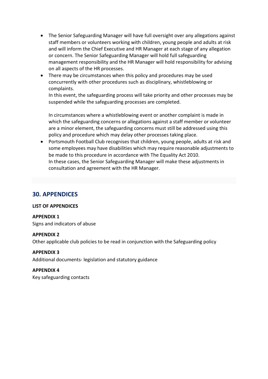- The Senior Safeguarding Manager will have full oversight over any allegations against staff members or volunteers working with children, young people and adults at risk and will inform the Chief Executive and HR Manager at each stage of any allegation or concern. The Senior Safeguarding Manager will hold full safeguarding management responsibility and the HR Manager will hold responsibility for advising on all aspects of the HR processes.
- There may be circumstances when this policy and procedures may be used concurrently with other procedures such as disciplinary, whistleblowing or complaints.

In this event, the safeguarding process will take priority and other processes may be suspended while the safeguarding processes are completed.

In circumstances where a whistleblowing event or another complaint is made in which the safeguarding concerns or allegations against a staff member or volunteer are a minor element, the safeguarding concerns must still be addressed using this policy and procedure which may delay other processes taking place.

• Portsmouth Football Club recognises that children, young people, adults at risk and some employees may have disabilities which may require reasonable adjustments to be made to this procedure in accordance with The Equality Act 2010. In these cases, the Senior Safeguarding Manager will make these adjustments in consultation and agreement with the HR Manager.

#### **30. APPENDICES**

#### **LIST OF APPENDICES**

#### **APPENDIX 1**

Signs and indicators of abuse

#### **APPENDIX 2**

Other applicable club policies to be read in conjunction with the Safeguarding policy

#### **APPENDIX 3**

Additional documents- legislation and statutory guidance

**APPENDIX 4** Key safeguarding contacts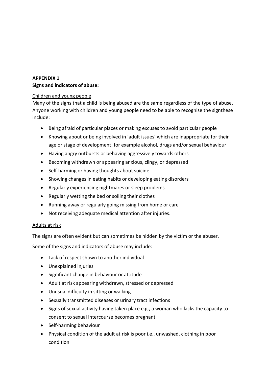#### **APPENDIX 1 Signs and indicators of abuse:**

#### Children and young people

Many of the signs that a child is being abused are the same regardless of the type of abuse. Anyone working with children and young people need to be able to recognise the signthese include:

- Being afraid of particular places or making excuses to avoid particular people
- Knowing about or being involved in 'adult issues' which are inappropriate for their age or stage of development, for example alcohol, drugs and/or sexual behaviour
- Having angry outbursts or behaving aggressively towards others
- Becoming withdrawn or appearing anxious, clingy, or depressed
- Self-harming or having thoughts about suicide
- Showing changes in eating habits or developing eating disorders
- Regularly experiencing nightmares or sleep problems
- Regularly wetting the bed or soiling their clothes
- Running away or regularly going missing from home or care
- Not receiving adequate medical attention after injuries.

#### Adults at risk

The signs are often evident but can sometimes be hidden by the victim or the abuser.

Some of the signs and indicators of abuse may include:

- Lack of respect shown to another individual
- Unexplained injuries
- Significant change in behaviour or attitude
- Adult at risk appearing withdrawn, stressed or depressed
- Unusual difficulty in sitting or walking
- Sexually transmitted diseases or urinary tract infections
- Signs of sexual activity having taken place e.g., a woman who lacks the capacity to consent to sexual intercourse becomes pregnant
- Self-harming behaviour
- Physical condition of the adult at risk is poor i.e., unwashed, clothing in poor condition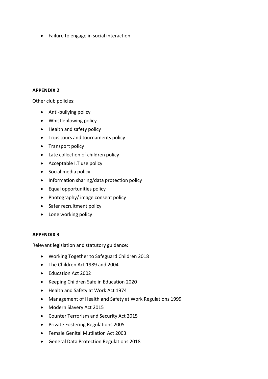• Failure to engage in social interaction

#### **APPENDIX 2**

Other club policies:

- Anti-bullying policy
- Whistleblowing policy
- Health and safety policy
- Trips tours and tournaments policy
- Transport policy
- Late collection of children policy
- Acceptable I.T use policy
- Social media policy
- Information sharing/data protection policy
- Equal opportunities policy
- Photography/ image consent policy
- Safer recruitment policy
- Lone working policy

#### **APPENDIX 3**

Relevant legislation and statutory guidance:

- Working Together to Safeguard Children 2018
- The Children Act 1989 and 2004
- Education Act 2002
- Keeping Children Safe in Education 2020
- Health and Safety at Work Act 1974
- Management of Health and Safety at Work Regulations 1999
- Modern Slavery Act 2015
- Counter Terrorism and Security Act 2015
- Private Fostering Regulations 2005
- Female Genital Mutilation Act 2003
- General Data Protection Regulations 2018